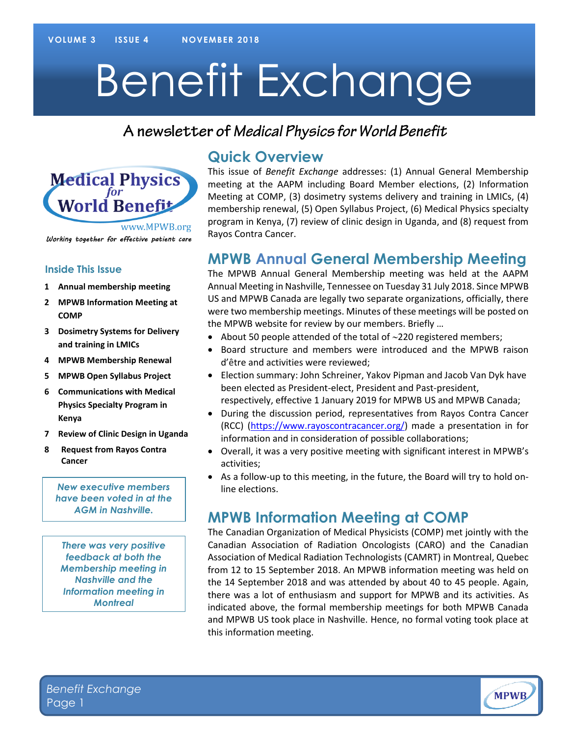# Benefit Exchange

## A newsletter of Medical Physics for World Benefit



#### Working together for effective patient care

#### **Inside This Issue**

- **1 Annual membership meeting**
- **2 MPWB Information Meeting at COMP**
- **3 Dosimetry Systems for Delivery and training in LMICs**
- **4 MPWB Membership Renewal**
- **5 MPWB Open Syllabus Project**
- **6 Communications with Medical Physics Specialty Program in Kenya**
- **7 Review of Clinic Design in Uganda**
- **8 Request from Rayos Contra Cancer**

**9**

*New executive members have been voted in at the AGM in Nashville.*

*There was very positive feedback at both the Membership meeting in Nashville and the Information meeting in Montreal*

#### **Quick Overview**

This issue of *Benefit Exchange* addresses: (1) Annual General Membership meeting at the AAPM including Board Member elections, (2) Information Meeting at COMP, (3) dosimetry systems delivery and training in LMICs, (4) membership renewal, (5) Open Syllabus Project, (6) Medical Physics specialty program in Kenya, (7) review of clinic design in Uganda, and (8) request from Rayos Contra Cancer.

#### **MPWB Annual General Membership Meeting**

The MPWB Annual General Membership meeting was held at the AAPM Annual Meeting in Nashville, Tennessee on Tuesday 31 July 2018. Since MPWB US and MPWB Canada are legally two separate organizations, officially, there were two membership meetings. Minutes of these meetings will be posted on the MPWB website for review by our members. Briefly …

- About 50 people attended of the total of  $\sim$ 220 registered members;
- Board structure and members were introduced and the MPWB raison d'être and activities were reviewed;
- Election summary: John Schreiner, Yakov Pipman and Jacob Van Dyk have been elected as President-elect, President and Past-president, respectively, effective 1 January 2019 for MPWB US and MPWB Canada;
- During the discussion period, representatives from Rayos Contra Cancer (RCC) [\(https://www.rayoscontracancer.org/\)](https://www.rayoscontracancer.org/) made a presentation in for information and in consideration of possible collaborations;
- Overall, it was a very positive meeting with significant interest in MPWB's activities;
- As a follow-up to this meeting, in the future, the Board will try to hold online elections.

#### **MPWB Information Meeting at COMP**

The Canadian Organization of Medical Physicists (COMP) met jointly with the Canadian Association of Radiation Oncologists (CARO) and the Canadian Association of Medical Radiation Technologists (CAMRT) in Montreal, Quebec from 12 to 15 September 2018. An MPWB information meeting was held on the 14 September 2018 and was attended by about 40 to 45 people. Again, there was a lot of enthusiasm and support for MPWB and its activities. As indicated above, the formal membership meetings for both MPWB Canada and MPWB US took place in Nashville. Hence, no formal voting took place at this information meeting.